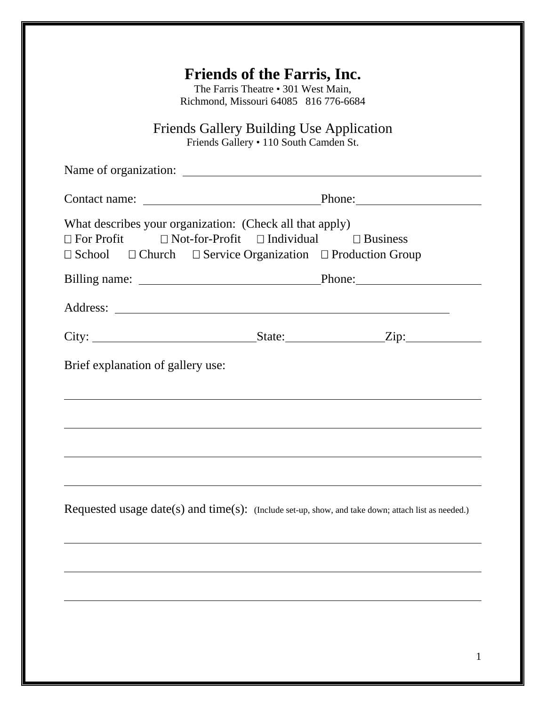| <b>Friends of the Farris, Inc.</b><br>The Farris Theatre • 301 West Main,<br>Richmond, Missouri 64085 816 776-6684                                               |                                                         |  |  |  |
|------------------------------------------------------------------------------------------------------------------------------------------------------------------|---------------------------------------------------------|--|--|--|
| <b>Friends Gallery Building Use Application</b><br>Friends Gallery • 110 South Camden St.                                                                        |                                                         |  |  |  |
|                                                                                                                                                                  |                                                         |  |  |  |
|                                                                                                                                                                  |                                                         |  |  |  |
| What describes your organization: (Check all that apply)<br>$\Box$ For Profit<br>$\Box$ School $\Box$ Church $\Box$ Service Organization $\Box$ Production Group | $\Box$ Not-for-Profit $\Box$ Individual $\Box$ Business |  |  |  |
|                                                                                                                                                                  |                                                         |  |  |  |
|                                                                                                                                                                  |                                                         |  |  |  |
| City: $\_\_\_\_\_\_$ State: $\_\_\_\_$ Zip:                                                                                                                      |                                                         |  |  |  |
| Brief explanation of gallery use:                                                                                                                                |                                                         |  |  |  |
| Requested usage date(s) and time(s): (Include set-up, show, and take down; attach list as needed.)                                                               |                                                         |  |  |  |
|                                                                                                                                                                  |                                                         |  |  |  |
|                                                                                                                                                                  |                                                         |  |  |  |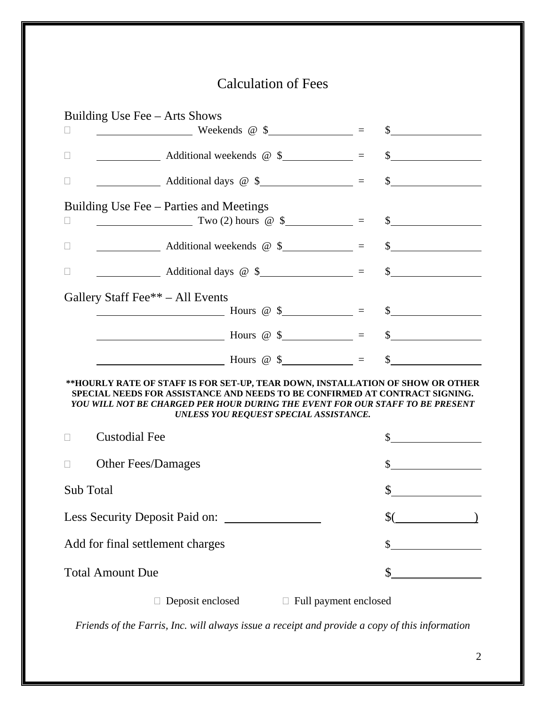# Calculation of Fees

| Building Use Fee – Arts Shows                                                                                                                                                                                                                                                            |        |  |  |
|------------------------------------------------------------------------------------------------------------------------------------------------------------------------------------------------------------------------------------------------------------------------------------------|--------|--|--|
| $\frac{1}{2}$ Weekends @ \$<br>$\Box$                                                                                                                                                                                                                                                    | $\sim$ |  |  |
| $\sim$ Additional weekends $\circledast$ $\sim$ $\sim$ $\sim$ $\sim$ $\sim$<br>$\Box$                                                                                                                                                                                                    |        |  |  |
| $\vert \ \ \vert$                                                                                                                                                                                                                                                                        |        |  |  |
| Building Use Fee – Parties and Meetings                                                                                                                                                                                                                                                  |        |  |  |
| $Two(2) hours @ $$ = \$<br>⊔                                                                                                                                                                                                                                                             |        |  |  |
|                                                                                                                                                                                                                                                                                          |        |  |  |
|                                                                                                                                                                                                                                                                                          |        |  |  |
| Gallery Staff Fee <sup>**</sup> – All Events                                                                                                                                                                                                                                             |        |  |  |
| Hours @ $\frac{1}{2}$ = $\frac{1}{2}$ = $\frac{1}{2}$                                                                                                                                                                                                                                    |        |  |  |
|                                                                                                                                                                                                                                                                                          |        |  |  |
| $\frac{1}{2}$ Hours @ \$ ___________ = \$ _________                                                                                                                                                                                                                                      |        |  |  |
| **HOURLY RATE OF STAFF IS FOR SET-UP, TEAR DOWN, INSTALLATION OF SHOW OR OTHER<br>SPECIAL NEEDS FOR ASSISTANCE AND NEEDS TO BE CONFIRMED AT CONTRACT SIGNING.<br>YOU WILL NOT BE CHARGED PER HOUR DURING THE EVENT FOR OUR STAFF TO BE PRESENT<br>UNLESS YOU REQUEST SPECIAL ASSISTANCE. |        |  |  |
| <b>Custodial Fee</b>                                                                                                                                                                                                                                                                     | \$     |  |  |
| <b>Other Fees/Damages</b>                                                                                                                                                                                                                                                                | $\sim$ |  |  |
| Sub Total                                                                                                                                                                                                                                                                                | \$     |  |  |
| Less Security Deposit Paid on:                                                                                                                                                                                                                                                           | \$(    |  |  |
| Add for final settlement charges                                                                                                                                                                                                                                                         | \$     |  |  |
| <b>Total Amount Due</b>                                                                                                                                                                                                                                                                  |        |  |  |
| Deposit enclosed<br>□ Full payment enclosed                                                                                                                                                                                                                                              |        |  |  |

*Friends of the Farris, Inc. will always issue a receipt and provide a copy of this information*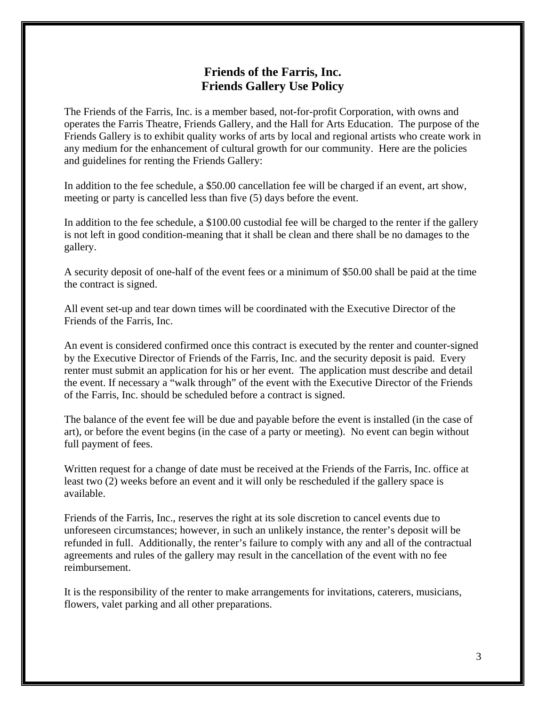# **Friends of the Farris, Inc. Friends Gallery Use Policy**

The Friends of the Farris, Inc. is a member based, not-for-profit Corporation, with owns and operates the Farris Theatre, Friends Gallery, and the Hall for Arts Education. The purpose of the Friends Gallery is to exhibit quality works of arts by local and regional artists who create work in any medium for the enhancement of cultural growth for our community. Here are the policies and guidelines for renting the Friends Gallery:

In addition to the fee schedule, a \$50.00 cancellation fee will be charged if an event, art show, meeting or party is cancelled less than five (5) days before the event.

In addition to the fee schedule, a \$100.00 custodial fee will be charged to the renter if the gallery is not left in good condition-meaning that it shall be clean and there shall be no damages to the gallery.

A security deposit of one-half of the event fees or a minimum of \$50.00 shall be paid at the time the contract is signed.

All event set-up and tear down times will be coordinated with the Executive Director of the Friends of the Farris, Inc.

An event is considered confirmed once this contract is executed by the renter and counter-signed by the Executive Director of Friends of the Farris, Inc. and the security deposit is paid. Every renter must submit an application for his or her event. The application must describe and detail the event. If necessary a "walk through" of the event with the Executive Director of the Friends of the Farris, Inc. should be scheduled before a contract is signed.

The balance of the event fee will be due and payable before the event is installed (in the case of art), or before the event begins (in the case of a party or meeting). No event can begin without full payment of fees.

Written request for a change of date must be received at the Friends of the Farris, Inc. office at least two (2) weeks before an event and it will only be rescheduled if the gallery space is available.

Friends of the Farris, Inc., reserves the right at its sole discretion to cancel events due to unforeseen circumstances; however, in such an unlikely instance, the renter's deposit will be refunded in full. Additionally, the renter's failure to comply with any and all of the contractual agreements and rules of the gallery may result in the cancellation of the event with no fee reimbursement.

It is the responsibility of the renter to make arrangements for invitations, caterers, musicians, flowers, valet parking and all other preparations.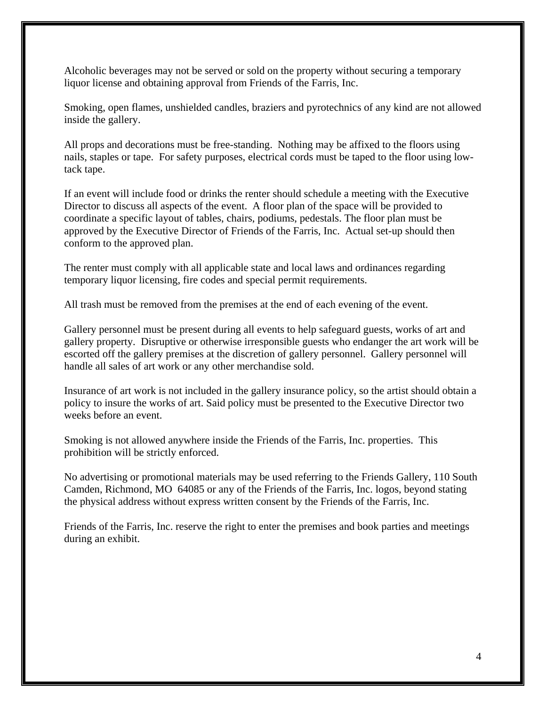Alcoholic beverages may not be served or sold on the property without securing a temporary liquor license and obtaining approval from Friends of the Farris, Inc.

Smoking, open flames, unshielded candles, braziers and pyrotechnics of any kind are not allowed inside the gallery.

All props and decorations must be free-standing. Nothing may be affixed to the floors using nails, staples or tape. For safety purposes, electrical cords must be taped to the floor using lowtack tape.

If an event will include food or drinks the renter should schedule a meeting with the Executive Director to discuss all aspects of the event. A floor plan of the space will be provided to coordinate a specific layout of tables, chairs, podiums, pedestals. The floor plan must be approved by the Executive Director of Friends of the Farris, Inc. Actual set-up should then conform to the approved plan.

The renter must comply with all applicable state and local laws and ordinances regarding temporary liquor licensing, fire codes and special permit requirements.

All trash must be removed from the premises at the end of each evening of the event.

Gallery personnel must be present during all events to help safeguard guests, works of art and gallery property. Disruptive or otherwise irresponsible guests who endanger the art work will be escorted off the gallery premises at the discretion of gallery personnel. Gallery personnel will handle all sales of art work or any other merchandise sold.

Insurance of art work is not included in the gallery insurance policy, so the artist should obtain a policy to insure the works of art. Said policy must be presented to the Executive Director two weeks before an event.

Smoking is not allowed anywhere inside the Friends of the Farris, Inc. properties. This prohibition will be strictly enforced.

No advertising or promotional materials may be used referring to the Friends Gallery, 110 South Camden, Richmond, MO 64085 or any of the Friends of the Farris, Inc. logos, beyond stating the physical address without express written consent by the Friends of the Farris, Inc.

Friends of the Farris, Inc. reserve the right to enter the premises and book parties and meetings during an exhibit.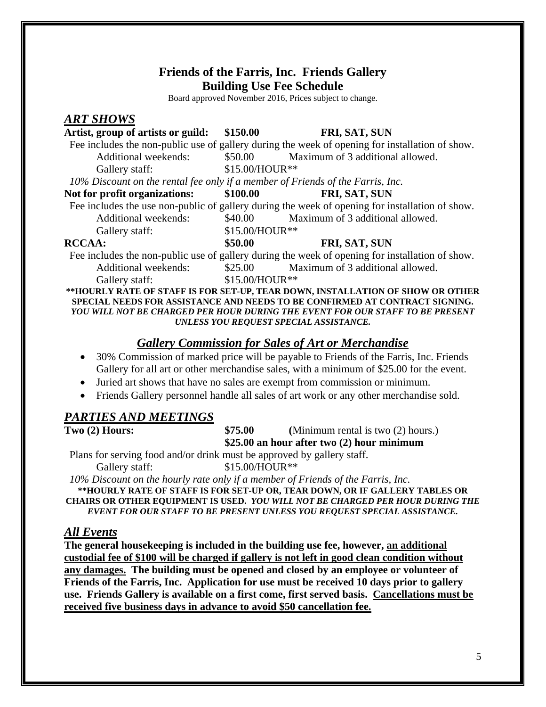# **Friends of the Farris, Inc. Friends Gallery Building Use Fee Schedule**

Board approved November 2016, Prices subject to change.

#### *ART SHOWS*

| Artist, group of artists or guild:                                                              | \$150.00       | FRI, SAT, SUN                    |  |  |
|-------------------------------------------------------------------------------------------------|----------------|----------------------------------|--|--|
| Fee includes the non-public use of gallery during the week of opening for installation of show. |                |                                  |  |  |
| <b>Additional weekends:</b>                                                                     | \$50.00        | Maximum of 3 additional allowed. |  |  |
| Gallery staff:                                                                                  | \$15.00/HOUR** |                                  |  |  |
| 10% Discount on the rental fee only if a member of Friends of the Farris, Inc.                  |                |                                  |  |  |
| Not for profit organizations:                                                                   | \$100.00       | FRI, SAT, SUN                    |  |  |
| Fee includes the use non-public of gallery during the week of opening for installation of show. |                |                                  |  |  |
| <b>Additional weekends:</b>                                                                     | \$40.00        | Maximum of 3 additional allowed. |  |  |
| Gallery staff:                                                                                  | \$15.00/HOUR** |                                  |  |  |
| <b>RCCAA:</b>                                                                                   | \$50.00        | <b>FRI, SAT, SUN</b>             |  |  |
| Fee includes the non-public use of gallery during the week of opening for installation of show. |                |                                  |  |  |
| Additional weekends:                                                                            | \$25.00        | Maximum of 3 additional allowed. |  |  |
| Gallery staff:                                                                                  | \$15.00/HOUR** |                                  |  |  |

**\*\*HOURLY RATE OF STAFF IS FOR SET-UP, TEAR DOWN, INSTALLATION OF SHOW OR OTHER SPECIAL NEEDS FOR ASSISTANCE AND NEEDS TO BE CONFIRMED AT CONTRACT SIGNING.**  *YOU WILL NOT BE CHARGED PER HOUR DURING THE EVENT FOR OUR STAFF TO BE PRESENT UNLESS YOU REQUEST SPECIAL ASSISTANCE.* 

# *Gallery Commission for Sales of Art or Merchandise*

- 30% Commission of marked price will be payable to Friends of the Farris, Inc. Friends Gallery for all art or other merchandise sales, with a minimum of \$25.00 for the event.
- Juried art shows that have no sales are exempt from commission or minimum.
- Friends Gallery personnel handle all sales of art work or any other merchandise sold.

## *PARTIES AND MEETINGS*

**Two (2) Hours:** \$75.00 (Minimum rental is two (2) hours.) **\$25.00 an hour after two (2) hour minimum** 

 Plans for serving food and/or drink must be approved by gallery staff. Gallery staff:  $$15.00/HOUR**$ 

 *10% Discount on the hourly rate only if a member of Friends of the Farris, Inc.* 

**\*\*HOURLY RATE OF STAFF IS FOR SET-UP OR, TEAR DOWN, OR IF GALLERY TABLES OR CHAIRS OR OTHER EQUIPMENT IS USED.** *YOU WILL NOT BE CHARGED PER HOUR DURING THE EVENT FOR OUR STAFF TO BE PRESENT UNLESS YOU REQUEST SPECIAL ASSISTANCE.*

## *All Events*

**The general housekeeping is included in the building use fee, however, an additional custodial fee of \$100 will be charged if gallery is not left in good clean condition without any damages. The building must be opened and closed by an employee or volunteer of Friends of the Farris, Inc. Application for use must be received 10 days prior to gallery use. Friends Gallery is available on a first come, first served basis. Cancellations must be received five business days in advance to avoid \$50 cancellation fee.**